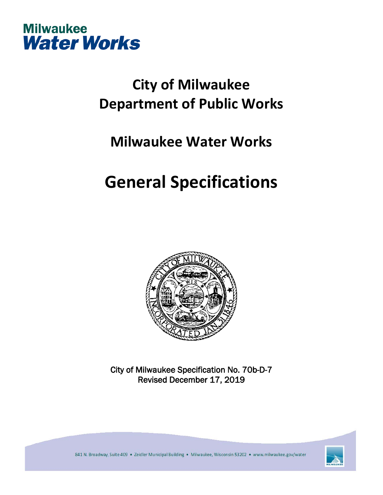

## **City of Milwaukee Department of Public Works**

### **Milwaukee Water Works**

# **General Specifications**



City of Milwaukee Specification No. 70b-D-7 Revised December 17, 2019

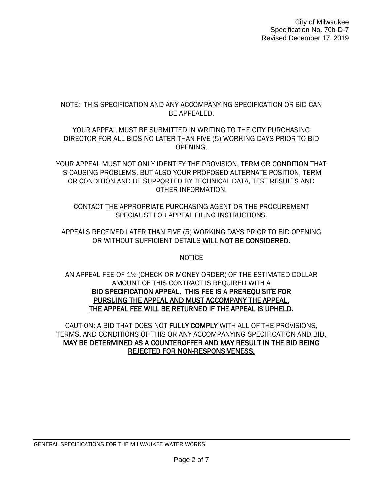#### NOTE: THIS SPECIFICATION AND ANY ACCOMPANYING SPECIFICATION OR BID CAN BE APPEALED.

YOUR APPEAL MUST BE SUBMITTED IN WRITING TO THE CITY PURCHASING DIRECTOR FOR ALL BIDS NO LATER THAN FIVE (5) WORKING DAYS PRIOR TO BID OPENING.

YOUR APPEAL MUST NOT ONLY IDENTIFY THE PROVISION, TERM OR CONDITION THAT IS CAUSING PROBLEMS, BUT ALSO YOUR PROPOSED ALTERNATE POSITION, TERM OR CONDITION AND BE SUPPORTED BY TECHNICAL DATA, TEST RESULTS AND OTHER INFORMATION.

CONTACT THE APPROPRIATE PURCHASING AGENT OR THE PROCUREMENT SPECIALIST FOR APPEAL FILING INSTRUCTIONS.

APPEALS RECEIVED LATER THAN FIVE (5) WORKING DAYS PRIOR TO BID OPENING OR WITHOUT SUFFICIENT DETAILS WILL NOT BE CONSIDERED.

**NOTICE** 

AN APPEAL FEE OF 1% (CHECK OR MONEY ORDER) OF THE ESTIMATED DOLLAR AMOUNT OF THIS CONTRACT IS REQUIRED WITH A BID SPECIFICATION APPEAL. THIS FEE IS A PREREQUISITE FOR PURSUING THE APPEAL AND MUST ACCOMPANY THE APPEAL. THE APPEAL FEE WILL BE RETURNED IF THE APPEAL IS UPHELD.

CAUTION: A BID THAT DOES NOT FULLY COMPLY WITH ALL OF THE PROVISIONS, TERMS, AND CONDITIONS OF THIS OR ANY ACCOMPANYING SPECIFICATION AND BID, MAY BE DETERMINED AS A COUNTEROFFER AND MAY RESULT IN THE BID BEING REJECTED FOR NON-RESPONSIVENESS.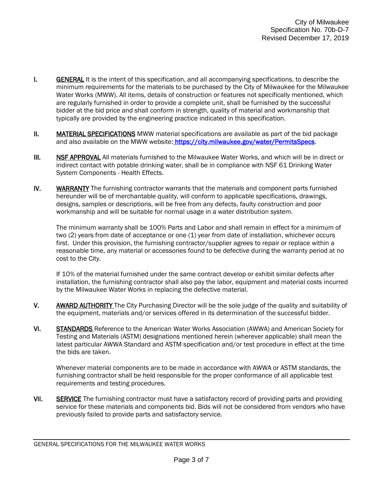- I. GENERAL It is the intent of this specification, and all accompanying specifications, to describe the minimum requirements for the materials to be purchased by the City of Milwaukee for the Milwaukee Water Works (MWW). All items, details of construction or features not specifically mentioned, which are regularly furnished in order to provide a complete unit, shall be furnished by the successful bidder at the bid price and shall conform in strength, quality of material and workmanship that typically are provided by the engineering practice indicated in this specification.
- II. MATERIAL SPECIFICATIONS MWW material specifications are available as part of the bid package and also available on the MWW website: [https://city.milwaukee.gov/water/PermitsSpecs.](https://city.milwaukee.gov/water/PermitsSpecs)
- III. NSF APPROVAL All materials furnished to the Milwaukee Water Works, and which will be in direct or indirect contact with potable drinking water, shall be in compliance with NSF 61 Drinking Water System Components - Health Effects.
- IV. WARRANTY The furnishing contractor warrants that the materials and component parts furnished hereunder will be of merchantable quality, will conform to applicable specifications, drawings, designs, samples or descriptions, will be free from any defects, faulty construction and poor workmanship and will be suitable for normal usage in a water distribution system.

The minimum warranty shall be 100% Parts and Labor and shall remain in effect for a minimum of two (2) years from date of acceptance or one (1) year from date of installation, whichever occurs first. Under this provision, the furnishing contractor/supplier agrees to repair or replace within a reasonable time, any material or accessories found to be defective during the warranty period at no cost to the City.

If 10% of the material furnished under the same contract develop or exhibit similar defects after installation, the furnishing contractor shall also pay the labor, equipment and material costs incurred by the Milwaukee Water Works in replacing the defective material.

- V. AWARD AUTHORITY The City Purchasing Director will be the sole judge of the quality and suitability of the equipment, materials and/or services offered in its determination of the successful bidder.
- VI. STANDARDS Reference to the American Water Works Association (AWWA) and American Society for Testing and Materials (ASTM) designations mentioned herein (wherever applicable) shall mean the latest particular AWWA Standard and ASTM specification and/or test procedure in effect at the time the bids are taken.

Whenever material components are to be made in accordance with AWWA or ASTM standards, the furnishing contractor shall be held responsible for the proper conformance of all applicable test requirements and testing procedures.

VII. SERVICE The furnishing contractor must have a satisfactory record of providing parts and providing service for these materials and components bid. Bids will not be considered from vendors who have previously failed to provide parts and satisfactory service.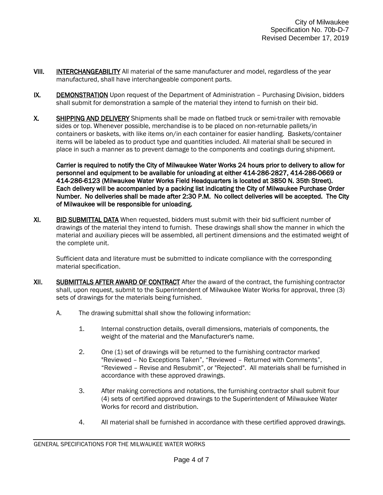- VIII. **INTERCHANGEABILITY** All material of the same manufacturer and model, regardless of the year manufactured, shall have interchangeable component parts.
- IX. DEMONSTRATION Upon request of the Department of Administration Purchasing Division, bidders shall submit for demonstration a sample of the material they intend to furnish on their bid.
- X. SHIPPING AND DELIVERY Shipments shall be made on flatbed truck or semi-trailer with removable sides or top. Whenever possible, merchandise is to be placed on non-returnable pallets/in containers or baskets, with like items on/in each container for easier handling. Baskets/container items will be labeled as to product type and quantities included. All material shall be secured in place in such a manner as to prevent damage to the components and coatings during shipment.

Carrier is required to notify the City of Milwaukee Water Works 24 hours prior to delivery to allow for personnel and equipment to be available for unloading at either 414-286-2827, 414-286-0669 or 414-286-6123 (Milwaukee Water Works Field Headquarters is located at 3850 N. 35th Street). Each delivery will be accompanied by a packing list indicating the City of Milwaukee Purchase Order Number. No deliveries shall be made after 2:30 P.M. No collect deliveries will be accepted. The City of Milwaukee will be responsible for unloading.

XI. BID SUBMITTAL DATA When requested, bidders must submit with their bid sufficient number of drawings of the material they intend to furnish. These drawings shall show the manner in which the material and auxiliary pieces will be assembled, all pertinent dimensions and the estimated weight of the complete unit.

Sufficient data and literature must be submitted to indicate compliance with the corresponding material specification.

- XII. SUBMITTALS AFTER AWARD OF CONTRACT After the award of the contract, the furnishing contractor shall, upon request, submit to the Superintendent of Milwaukee Water Works for approval, three (3) sets of drawings for the materials being furnished.
	- A. The drawing submittal shall show the following information:
		- 1. Internal construction details, overall dimensions, materials of components, the weight of the material and the Manufacturer's name.
		- 2. One (1) set of drawings will be returned to the furnishing contractor marked "Reviewed – No Exceptions Taken", "Reviewed – Returned with Comments", "Reviewed – Revise and Resubmit", or "Rejected". All materials shall be furnished in accordance with these approved drawings.
		- 3. After making corrections and notations, the furnishing contractor shall submit four (4) sets of certified approved drawings to the Superintendent of Milwaukee Water Works for record and distribution.
		- 4. All material shall be furnished in accordance with these certified approved drawings.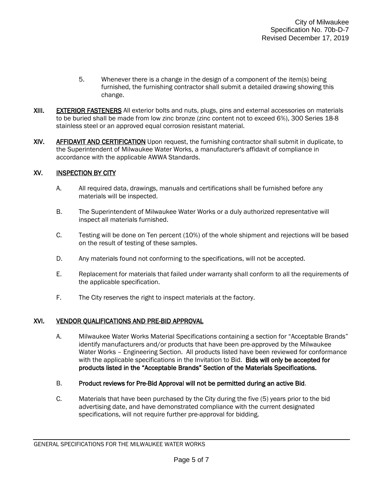- 5. Whenever there is a change in the design of a component of the item(s) being furnished, the furnishing contractor shall submit a detailed drawing showing this change.
- XIII. EXTERIOR FASTENERS All exterior bolts and nuts, plugs, pins and external accessories on materials to be buried shall be made from low zinc bronze (zinc content not to exceed 6%), 300 Series 18-8 stainless steel or an approved equal corrosion resistant material.
- XIV. AFFIDAVIT AND CERTIFICATION Upon request, the furnishing contractor shall submit in duplicate, to the Superintendent of Milwaukee Water Works, a manufacturer's affidavit of compliance in accordance with the applicable AWWA Standards.

#### XV. INSPECTION BY CITY

- A. All required data, drawings, manuals and certifications shall be furnished before any materials will be inspected.
- B. The Superintendent of Milwaukee Water Works or a duly authorized representative will inspect all materials furnished.
- C. Testing will be done on Ten percent (10%) of the whole shipment and rejections will be based on the result of testing of these samples.
- D. Any materials found not conforming to the specifications, will not be accepted.
- E. Replacement for materials that failed under warranty shall conform to all the requirements of the applicable specification.
- F. The City reserves the right to inspect materials at the factory.

#### XVI. VENDOR QUALIFICATIONS AND PRE-BID APPROVAL

- A. Milwaukee Water Works Material Specifications containing a section for "Acceptable Brands" identify manufacturers and/or products that have been pre-approved by the Milwaukee Water Works – Engineering Section. All products listed have been reviewed for conformance with the applicable specifications in the Invitation to Bid. Bids will only be accepted for products listed in the "Acceptable Brands" Section of the Materials Specifications.
- B. Product reviews for Pre-Bid Approval will not be permitted during an active Bid.
- C. Materials that have been purchased by the City during the five (5) years prior to the bid advertising date, and have demonstrated compliance with the current designated specifications, will not require further pre-approval for bidding.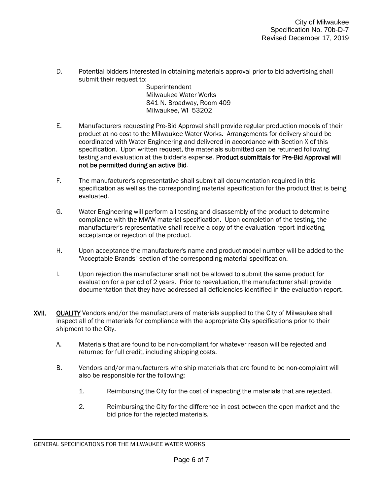D. Potential bidders interested in obtaining materials approval prior to bid advertising shall submit their request to:

> Superintendent Milwaukee Water Works 841 N. Broadway, Room 409 Milwaukee, WI 53202

- E. Manufacturers requesting Pre-Bid Approval shall provide regular production models of their product at no cost to the Milwaukee Water Works. Arrangements for delivery should be coordinated with Water Engineering and delivered in accordance with Section X of this specification. Upon written request, the materials submitted can be returned following testing and evaluation at the bidder's expense. Product submittals for Pre-Bid Approval will not be permitted during an active Bid.
- F. The manufacturer's representative shall submit all documentation required in this specification as well as the corresponding material specification for the product that is being evaluated.
- G. Water Engineering will perform all testing and disassembly of the product to determine compliance with the MWW material specification. Upon completion of the testing, the manufacturer's representative shall receive a copy of the evaluation report indicating acceptance or rejection of the product.
- H. Upon acceptance the manufacturer's name and product model number will be added to the "Acceptable Brands" section of the corresponding material specification.
- I. Upon rejection the manufacturer shall not be allowed to submit the same product for evaluation for a period of 2 years. Prior to reevaluation, the manufacturer shall provide documentation that they have addressed all deficiencies identified in the evaluation report.
- XVII. QUALITY Vendors and/or the manufacturers of materials supplied to the City of Milwaukee shall inspect all of the materials for compliance with the appropriate City specifications prior to their shipment to the City.
	- A. Materials that are found to be non-compliant for whatever reason will be rejected and returned for full credit, including shipping costs.
	- B. Vendors and/or manufacturers who ship materials that are found to be non-complaint will also be responsible for the following:
		- 1. Reimbursing the City for the cost of inspecting the materials that are rejected.
		- 2. Reimbursing the City for the difference in cost between the open market and the bid price for the rejected materials.